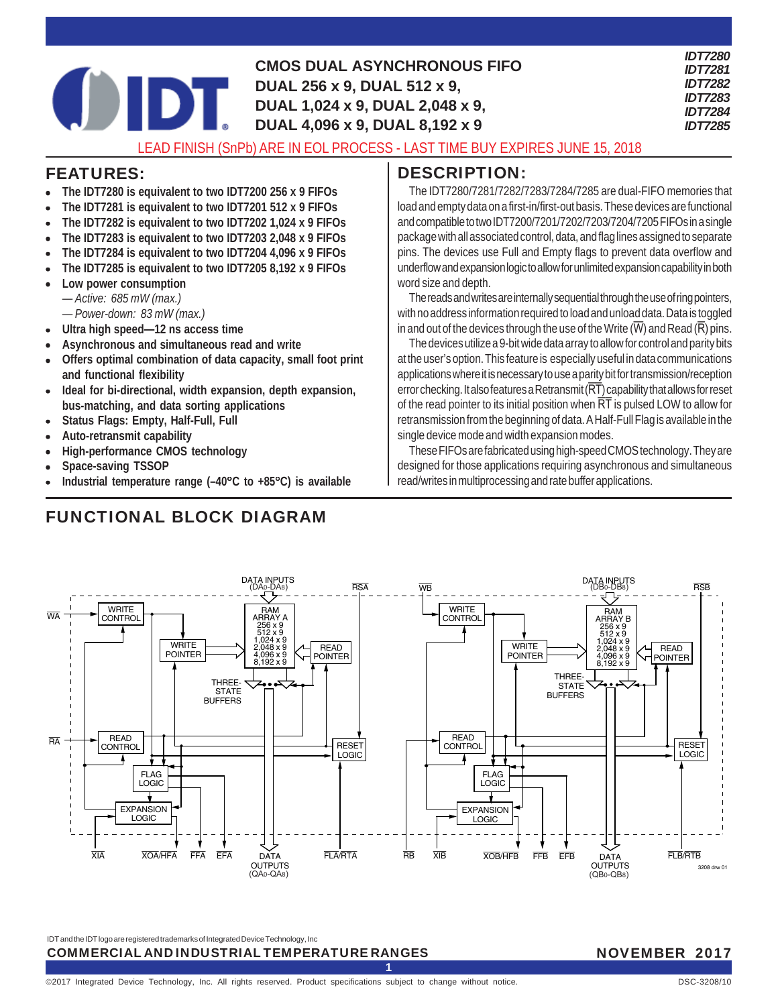|  | <b>CMOS DUAL ASYNCHRONOUS FIFO</b><br>DUAL 256 x 9, DUAL 512 x 9,<br>DUAL 1,024 x 9, DUAL 2,048 x 9,<br>DUAL 4,096 x 9, DUAL 8,192 x 9 | <b>IDT7280</b><br><b>IDT7281</b><br><b>IDT7282</b><br><b>IDT7283</b><br><b>IDT7284</b><br><b>IDT7285</b> |
|--|----------------------------------------------------------------------------------------------------------------------------------------|----------------------------------------------------------------------------------------------------------|
|  | LEAD FUNCH (O. D) LADE IN EQUIDO CEOQUE ACT THAT DUMENTIAL HINE AT ACAO                                                                |                                                                                                          |

### LEAD FINISH (SnPb) ARE IN EOL PROCESS - LAST TIME BUY EXPIRES JUNE 15, 2018

### FEATURES:

- **The IDT7280 is equivalent to two IDT7200 256 x 9 FIFOs**
- **The IDT7281 is equivalent to two IDT7201 512 x 9 FIFOs**
- **The IDT7282 is equivalent to two IDT7202 1,024 x 9 FIFOs**
- **The IDT7283 is equivalent to two IDT7203 2,048 x 9 FIFOs**
- **The IDT7284 is equivalent to two IDT7204 4,096 x 9 FIFOs**
- **The IDT7285 is equivalent to two IDT7205 8,192 x 9 FIFOs**
- **Low power consumption**
	- *Active: 685 mW (max.)*
	- *Power-down: 83 mW (max.)*
- **Ultra high speed—12 ns access time**
- **Asynchronous and simultaneous read and write**
- **Offers optimal combination of data capacity, small foot print and functional flexibility**
- **Ideal for bi-directional, width expansion, depth expansion, bus-matching, and data sorting applications**
- **Status Flags: Empty, Half-Full, Full**
- **Auto-retransmit capability**
- **High-performance CMOS technology**
- **Space-saving TSSOP**
- **Industrial temperature range (–40**°**C to +85**°**C) is available**

# FUNCTIONAL BLOCK DIAGRAM

# DESCRIPTION:

The IDT7280/7281/7282/7283/7284/7285 are dual-FIFO memories that load and empty data on a first-in/first-out basis. These devices are functional and compatible to two IDT7200/7201/7202/7203/7204/7205 FIFOs in a single package with all associated control, data, and flag lines assigned to separate pins. The devices use Full and Empty flags to prevent data overflow and underflow and expansion logic to allow for unlimited expansion capability in both word size and depth.

The reads and writes are internally sequential through the use of ring pointers, with no address information required to load and unload data. Data is toggled in and out of the devices through the use of the Write  $(\overline{W})$  and Read  $(\overline{R})$  pins.

The devices utilize a 9-bit wide data array to allow for control and parity bits at the user's option. This feature is especially useful in data communications applications where it is necessary to use a parity bit for transmission/reception error checking. It also features a Retransmit  $(RT)$  capability that allows for reset of the read pointer to its initial position when  $\overline{RT}$  is pulsed LOW to allow for retransmission from the beginning of data. A Half-Full Flag is available in the single device mode and width expansion modes.

These FIFOs are fabricated using high-speed CMOS technology. They are designed for those applications requiring asynchronous and simultaneous read/writes in multiprocessing and rate buffer applications.



**1**

IDT and the IDT logo are registered trademarks of Integrated Device Technology, Inc COMMERCIAL AND INDUSTRIAL TEMPERATURE RANGES

### NOVEMBER 2017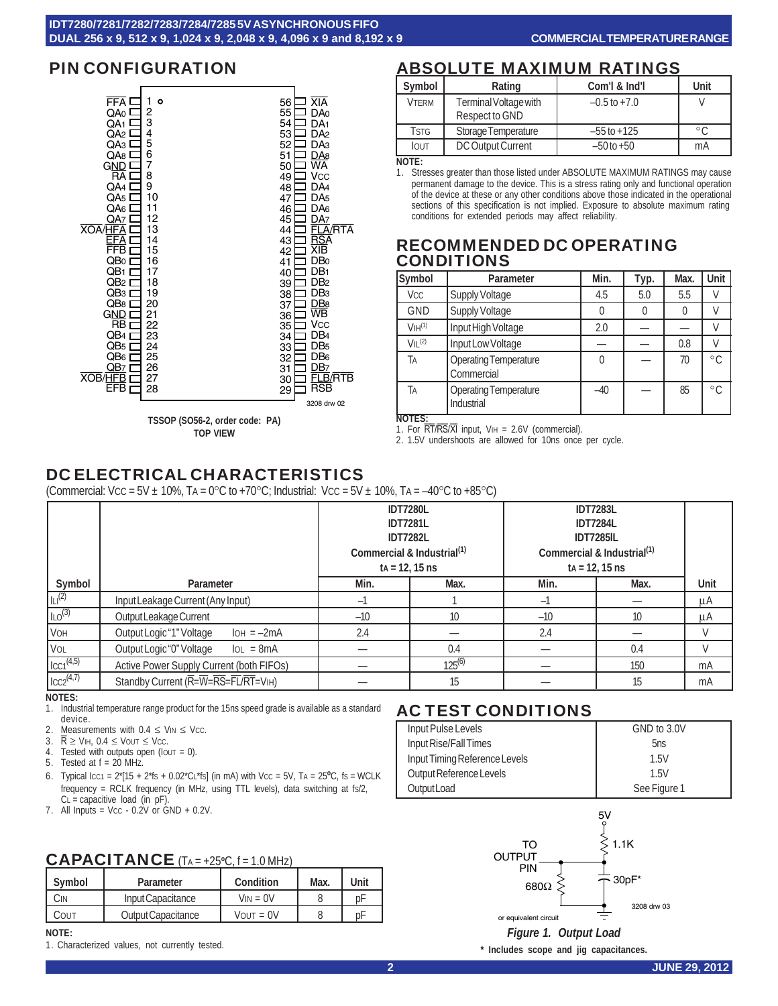

**TOP VIEW**

# PIN CONFIGURATION ABSOLUTE MAXIMUM RATINGS

| Symbol       | Rating                | Com'l & Ind'l    | Unit           |
|--------------|-----------------------|------------------|----------------|
| <b>VTERM</b> | Terminal Voltage with | $-0.5$ to $+7.0$ |                |
|              | Respect to GND        |                  |                |
| <b>TSTG</b>  | Storage Temperature   | $-55$ to $+125$  | $\circ$ $\cap$ |
| <b>IOUT</b>  | DC Output Current     | $-50$ to $+50$   | mA             |

**NOTE:**

1. Stresses greater than those listed under ABSOLUTE MAXIMUM RATINGS may cause permanent damage to the device. This is a stress rating only and functional operation of the device at these or any other conditions above those indicated in the operational sections of this specification is not implied. Exposure to absolute maximum rating conditions for extended periods may affect reliability.

## RECOMMENDED DC OPERATING CONDITIONS

| Symbol                         | Parameter                                  | Min.  | Typ. | Max. | Unit         |
|--------------------------------|--------------------------------------------|-------|------|------|--------------|
| Vcc                            | Supply Voltage                             | 4.5   | 5.0  | 5.5  |              |
| <b>GND</b>                     | Supply Voltage                             |       |      | 0    |              |
| V <sub>IH</sub> <sup>(1)</sup> | Input High Voltage                         | 2.0   |      |      |              |
| VII <sup>(2)</sup>             | Input Low Voltage                          |       |      | 0.8  |              |
| Ta                             | <b>Operating Temperature</b><br>Commercial |       |      | 70   | $^{\circ}$ C |
| Tа                             | <b>Operating Temperature</b><br>Industrial | $-40$ |      | 85   | $^{\circ}$ C |

**NOTES:** 1. For  $\overline{RT}/\overline{RS}/\overline{XI}$  input,  $V_{\text{IH}} = 2.6V$  (commercial).

2. 1.5V undershoots are allowed for 10ns once per cycle.

# DC ELECTRICAL CHARACTERISTICS

(Commercial: Vcc =  $5V \pm 10\%$ . TA =  $0^{\circ}$ C to +70 $^{\circ}$ C; Industrial: Vcc =  $5V \pm 10\%$ , TA =  $-40^{\circ}$ C to +85 $^{\circ}$ C)

|                      |                                          | <b>IDT7280L</b><br><b>IDT7281L</b><br><b>IDT7282L</b><br>Commercial & Industrial <sup>(1)</sup><br>$ta = 12.15$ ns |             | <b>IDT7283L</b><br><b>IDT7284L</b><br><b>IDT7285IL</b><br>Commercial & Industrial <sup>(1)</sup><br>$ta = 12, 15$ ns |      |        |
|----------------------|------------------------------------------|--------------------------------------------------------------------------------------------------------------------|-------------|----------------------------------------------------------------------------------------------------------------------|------|--------|
| Symbol               | Parameter                                | Min.                                                                                                               | Max.        | Min.                                                                                                                 | Max. | Unit   |
| $\vert$ ILI $^{(2)}$ | Input Leakage Current (Any Input)        | -1                                                                                                                 |             | $-1$                                                                                                                 |      | μA     |
| ILO <sup>(3)</sup>   | Output Leakage Current                   | $-10$                                                                                                              | 10          | $-10$                                                                                                                | 10   | μA     |
| I VOH                | Output Logic "1" Voltage<br>$IOH = -2mA$ | 2.4                                                                                                                |             | 2.4                                                                                                                  |      | $\vee$ |
| V <sub>OL</sub>      | Output Logic "0" Voltage<br>$IoL = 8mA$  |                                                                                                                    | 0.4         |                                                                                                                      | 0.4  | $\vee$ |
| $ _{CC1}^{(4,5)} $   | Active Power Supply Current (both FIFOs) |                                                                                                                    | $125^{(6)}$ |                                                                                                                      | 150  | mA     |
| $ _{CC2}^{(4,7)} $   | Standby Current (R=W=RS=FL/RT=VIH)       |                                                                                                                    | 15          |                                                                                                                      | 15   | mA     |

**NOTES:**

- 1. Industrial temperature range product for the 15ns speed grade is available as a standard device.
- 2. Measurements with  $0.4 \leq$  Vin  $\leq$  Vcc.<br>3.  $\overline{R} \geq$  ViH,  $0.4 \leq$  Vout  $\leq$  Vcc.
- $\overline{\mathsf{R}}$  ≥ V<sub>IH</sub>, 0.4  $\leq$  Vout  $\leq$  Vcc.
- 4. Tested with outputs open (IOUT = 0).
- 5. Tested at f = 20 MHz.
- 6. Typical Icc1 =  $2*[15 + 2*fs + 0.02*C_L*fs]$  (in mA) with Vcc =  $5V$ , TA =  $25^{\circ}C$ , fs = WCLK frequency = RCLK frequency (in MHz, using TTL levels), data switching at fs/2,  $CL =$  capacitive load (in  $pF$ ).
- 7. All Inputs = Vcc  $0.2V$  or  $GND + 0.2V$ .

# CAPACITANCE (TA = +25**<sup>o</sup>** C, f = 1.0 MHz)

| Symbol | Parameter          | Condition           | Max. | Unit |
|--------|--------------------|---------------------|------|------|
| Ĵ١N    | Input Capacitance  | $V_{IN} = 0V$       |      | ŋΕ   |
| COUT   | Output Capacitance | $V$ $N$ $T = 0$ $V$ |      | рF   |

#### **NOTE:**

1. Characterized values, not currently tested.

# AC TEST CONDITIONS

| Input Pulse Levels            | GND to 3.0V  |
|-------------------------------|--------------|
| Input Rise/Fall Times         | 5ns          |
| Input Timing Reference Levels | 1.5V         |
| Output Reference Levels       | 1.5V         |
| Output Load                   | See Figure 1 |



**\* Includes scope and jig capacitances.**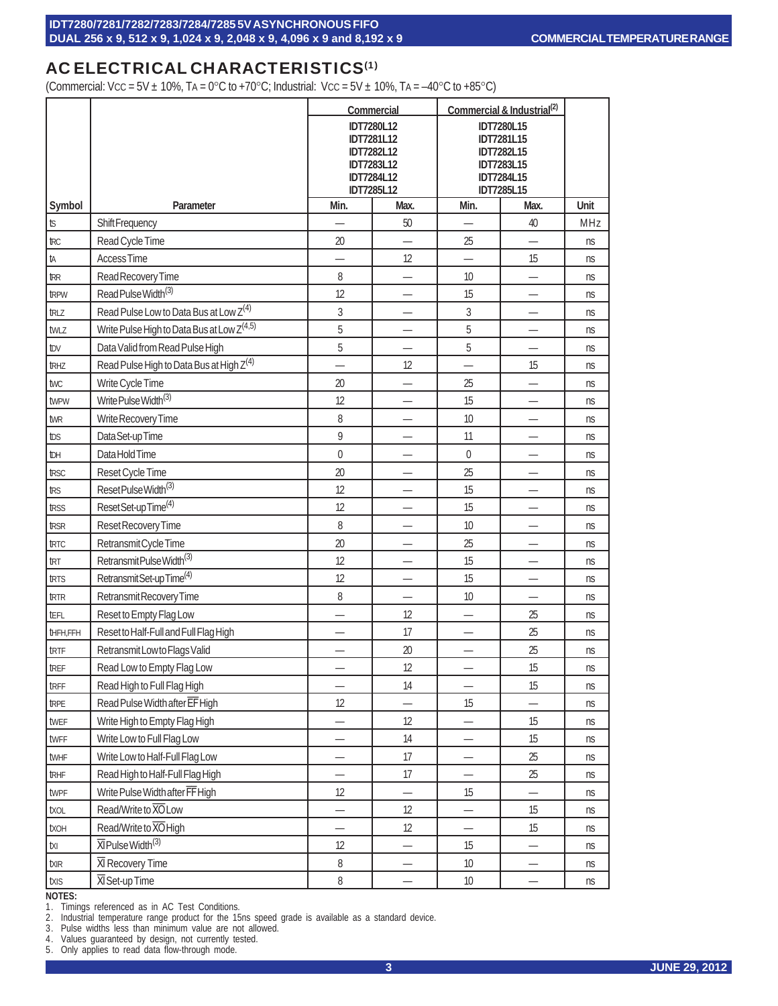# AC ELECTRICAL CHARACTERISTICS<sup>(1)</sup>

(Commercial: Vcc = 5V  $\pm$  10%, TA = 0°C to +70°C; Industrial: Vcc = 5V  $\pm$  10%, TA = -40°C to +85°C)

|                 |                                                        |                | Commercial                             |                                                      | Commercial & Industrial <sup>(2)</sup> |      |
|-----------------|--------------------------------------------------------|----------------|----------------------------------------|------------------------------------------------------|----------------------------------------|------|
|                 |                                                        |                | IDT7280L12                             |                                                      | IDT7280L15                             |      |
|                 |                                                        |                | <b>IDT7281L12</b>                      |                                                      | IDT7281L15                             |      |
|                 |                                                        |                | <b>IDT7282L12</b><br><b>IDT7283L12</b> | <b>IDT7282L15</b><br><b>IDT7283L15</b><br>IDT7284L15 |                                        |      |
|                 |                                                        |                | <b>IDT7284L12</b>                      |                                                      |                                        |      |
|                 |                                                        |                | <b>IDT7285L12</b>                      |                                                      | <b>IDT7285L15</b>                      |      |
| Symbol          | Parameter                                              | Min.           | Max.                                   | Min.                                                 | Max.                                   | Unit |
| $t\!\mathbb{S}$ | Shift Frequency                                        |                | 50                                     |                                                      | 40                                     | MHz  |
| <b>TRC</b>      | Read Cycle Time                                        | 20             |                                        | 25                                                   |                                        | ns   |
| ta              | <b>Access Time</b>                                     |                | 12                                     | —                                                    | 15                                     | ns   |
| <b>TRR</b>      | Read Recovery Time                                     | 8              |                                        | 10                                                   |                                        | ns   |
| tRPW            | Read Pulse Width <sup>(3)</sup>                        | 12             |                                        | 15                                                   |                                        | ns   |
| truz            | Read Pulse Low to Data Bus at Low Z <sup>(4)</sup>     | 3              | $\overline{\phantom{0}}$               | 3                                                    | —                                      | ns   |
| twLz            | Write Pulse High to Data Bus at Low Z <sup>(4,5)</sup> | 5              |                                        | 5                                                    |                                        | ns   |
| tov             | Data Valid from Read Pulse High                        | 5              |                                        | 5                                                    |                                        | ns   |
| <b>tRHZ</b>     | Read Pulse High to Data Bus at High Z <sup>(4)</sup>   |                | 12                                     |                                                      | 15                                     | ns   |
| twc             | Write Cycle Time                                       | 20             |                                        | 25                                                   |                                        | ns   |
| twpw            | Write Pulse Width <sup>(3)</sup>                       | 12             |                                        | 15                                                   |                                        | ns   |
| twR             | Write Recovery Time                                    | 8              | $\overline{\phantom{0}}$               | 10                                                   | —                                      | ns   |
| tos             | Data Set-up Time                                       | 9              |                                        | 11                                                   |                                        | ns   |
| İЫ              | Data Hold Time                                         | $\overline{0}$ |                                        | 0                                                    |                                        | ns   |
| trsc            | Reset Cycle Time                                       | 20             | $\overline{\phantom{0}}$               | 25                                                   | —                                      | ns   |
| trs             | Reset Pulse Width <sup>(3)</sup>                       | 12             |                                        | 15                                                   |                                        | ns   |
| trss            | Reset Set-up Time <sup>(4)</sup>                       | 12             |                                        | 15                                                   |                                        | ns   |
| trsr            | Reset Recovery Time                                    | 8              | $\overline{\phantom{0}}$               | 10                                                   | —                                      | ns   |
| troc            | Retransmit Cycle Time                                  | 20             |                                        | 25                                                   |                                        | ns   |
| trt             | Retransmit Pulse Width <sup>(3)</sup>                  | 12             |                                        | 15                                                   |                                        | ns   |
| trts            | Retransmit Set-up Time <sup>(4)</sup>                  | 12             | $\overline{\phantom{0}}$               | 15                                                   | —                                      | ns   |
| trn             | Retransmit Recovery Time                               | 8              |                                        | 10                                                   |                                        | ns   |
| tefl            | Reset to Empty Flag Low                                |                | 12                                     |                                                      | 25                                     | ns   |
| <b>THFH,FFH</b> | Reset to Half-Full and Full Flag High                  | —              | 17                                     | —                                                    | 25                                     | ns   |
| trtF            | Retransmit Low to Flags Valid                          |                | 20                                     |                                                      | 25                                     | ns   |
| tref            | Read Low to Empty Flag Low                             | —              | 12                                     | —                                                    | 15                                     | ns   |
| trfF            | Read High to Full Flag High                            |                | 14                                     | —                                                    | 15                                     | ns   |
| tRPE            | Read Pulse Width after EF High                         | 12             |                                        | 15                                                   |                                        | ns   |
| twer            | Write High to Empty Flag High                          |                | 12                                     |                                                      | 15                                     | ns   |
| twFF            | Write Low to Full Flag Low                             | —              | 14                                     | —                                                    | 15                                     | ns   |
| twhF            | Write Low to Half-Full Flag Low                        |                | 17                                     |                                                      | 25                                     | ns   |
| trhF            | Read High to Half-Full Flag High                       |                | 17                                     |                                                      | 25                                     | ns   |
| twpF            | Write Pulse Width after FF High                        | 12             |                                        | 15                                                   | —                                      | ns   |
| txol            | Read/Write to XO Low                                   |                | 12                                     |                                                      | 15                                     | ns   |
| <b>TXOH</b>     | Read/Write to XO High                                  |                | 12                                     |                                                      | 15                                     | ns   |
| txı             | XI Pulse Width <sup>(3)</sup>                          | 12             | $\overline{\phantom{0}}$               | 15                                                   | —                                      | ns   |
| txIR            | XI Recovery Time                                       | 8              |                                        | $10$                                                 |                                        | ns   |
| txis            | <b>XI</b> Set-up Time                                  | 8              |                                        | 10                                                   |                                        | ns   |

#### **NOTES:**

1. Timings referenced as in AC Test Conditions.

2. Industrial temperature range product for the 15ns speed grade is available as a standard device.

3. Pulse widths less than minimum value are not allowed.

4. Values guaranteed by design, not currently tested.

5. Only applies to read data flow-through mode.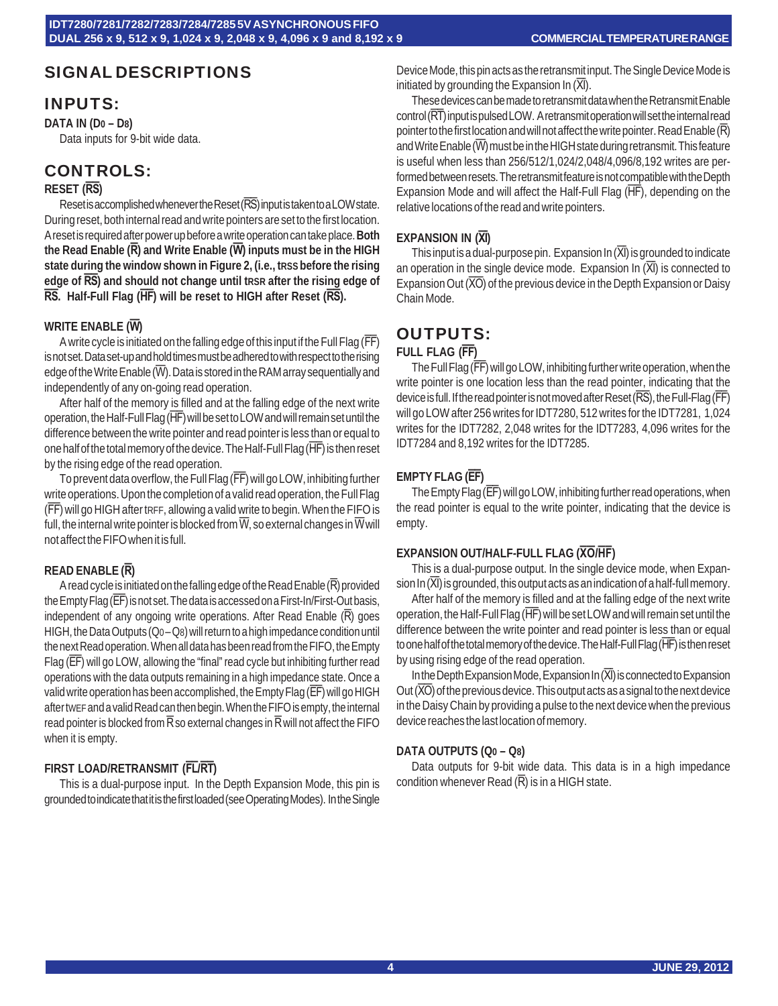# SIGNAL DESCRIPTIONS

### INPUTS:

**DATA IN (D0 – D8)**

Data inputs for 9-bit wide data.

# CONTROLS:

### **RESET (RS)**

Reset is accomplished whenever the Reset (RS) input is taken to a LOW state. During reset, both internal read and write pointers are set to the first location. A reset is required after power up before a write operation can take place. **Both the Read Enable (R) and Write Enable (W) inputs must be in the HIGH state during the window shown in Figure 2, (i.e., tRSS before the rising edge of RS) and should not change until tRSR after the rising edge of RS. Half-Full Flag (HF) will be reset to HIGH after Reset (RS).**

### **WRITE ENABLE (W)**

A write cycle is initiated on the falling edge of this input if the Full Flag (FF) is not set. Data set-up and hold times must be adhered to with respect to the rising edge of the Write Enable  $\overline{W}$ . Data is stored in the RAM array sequentially and independently of any on-going read operation.

After half of the memory is filled and at the falling edge of the next write operation, the Half-Full Flag (HF) will be set to LOW and will remain set until the difference between the write pointer and read pointer is less than or equal to one half of the total memory of the device. The Half-Full Flag (HF) is then reset by the rising edge of the read operation.

To prevent data overflow, the Full Flag (FF) will go LOW, inhibiting further write operations. Upon the completion of a valid read operation, the Full Flag (FF) will go HIGH after tRFF, allowing a valid write to begin. When the FIFO is full, the internal write pointer is blocked from  $\overline{W}$ , so external changes in  $\overline{W}$  will not affect the FIFO when it is full.

### **READ ENABLE (R)**

A read cycle is initiated on the falling edge of the Read Enable  $(\overline{R})$  provided the Empty Flag (EF) is not set. The data is accessed on a First-In/First-Out basis, independent of any ongoing write operations. After Read Enable  $(\overline{R})$  goes HIGH, the Data Outputs (Q0 – Q8) will return to a high impedance condition until the next Read operation. When all data has been read from the FIFO, the Empty Flag (EF) will go LOW, allowing the "final" read cycle but inhibiting further read operations with the data outputs remaining in a high impedance state. Once a valid write operation has been accomplished, the Empty Flag (EF) will go HIGH after tWEF and a valid Read can then begin. When the FIFO is empty, the internal read pointer is blocked from  $\overline{R}$  so external changes in  $\overline{R}$  will not affect the FIFO when it is empty.

### **FIRST LOAD/RETRANSMIT (FL/RT)**

This is a dual-purpose input. In the Depth Expansion Mode, this pin is grounded to indicate that it is the first loaded (see Operating Modes). In the Single

Device Mode, this pin acts as the retransmit input. The Single Device Mode is initiated by grounding the Expansion In  $(\overline{XI})$ .

These devices can be made to retransmit data when the Retransmit Enable control (RT) input is pulsed LOW. A retransmit operation will set the internal read pointer to the first location and will not affect the write pointer. Read Enable (R) and Write Enable  $\overline{W}$  must be in the HIGH state during retransmit. This feature is useful when less than 256/512/1,024/2,048/4,096/8,192 writes are performed between resets. The retransmit feature is not compatible with the Depth Expansion Mode and will affect the Half-Full Flag (HF), depending on the relative locations of the read and write pointers.

### **EXPANSION IN (XI)**

This input is a dual-purpose pin. Expansion In  $(\overline{XI})$  is grounded to indicate an operation in the single device mode. Expansion In  $(XI)$  is connected to Expansion Out  $(\overline{XO})$  of the previous device in the Depth Expansion or Daisy Chain Mode.

# OUTPUTS:

### **FULL FLAG (FF)**

The Full Flag (FF) will go LOW, inhibiting further write operation, when the write pointer is one location less than the read pointer, indicating that the device is full. If the read pointer is not moved after Reset (RS), the Full-Flag (FF) will go LOW after 256 writes for IDT7280, 512 writes for the IDT7281, 1,024 writes for the IDT7282, 2,048 writes for the IDT7283, 4,096 writes for the IDT7284 and 8,192 writes for the IDT7285.

### **EMPTY FLAG (EF)**

The Empty Flag (EF) will go LOW, inhibiting further read operations, when the read pointer is equal to the write pointer, indicating that the device is empty.

#### **EXPANSION OUT/HALF-FULL FLAG (XO/HF)**

This is a dual-purpose output. In the single device mode, when Expansion In  $(\overline{X}$ ) is grounded, this output acts as an indication of a half-full memory.

After half of the memory is filled and at the falling edge of the next write operation, the Half-Full Flag (HF) will be set LOW and will remain set until the difference between the write pointer and read pointer is less than or equal to one half of the total memory of the device. The Half-Full Flag (HF) is then reset by using rising edge of the read operation.

In the Depth Expansion Mode, Expansion In  $(\overline{X})$  is connected to Expansion Out  $(\overline{XO})$  of the previous device. This output acts as a signal to the next device in the Daisy Chain by providing a pulse to the next device when the previous device reaches the last location of memory.

#### **DATA OUTPUTS (Q0 – Q8)**

Data outputs for 9-bit wide data. This data is in a high impedance condition whenever Read  $(\overline{R})$  is in a HIGH state.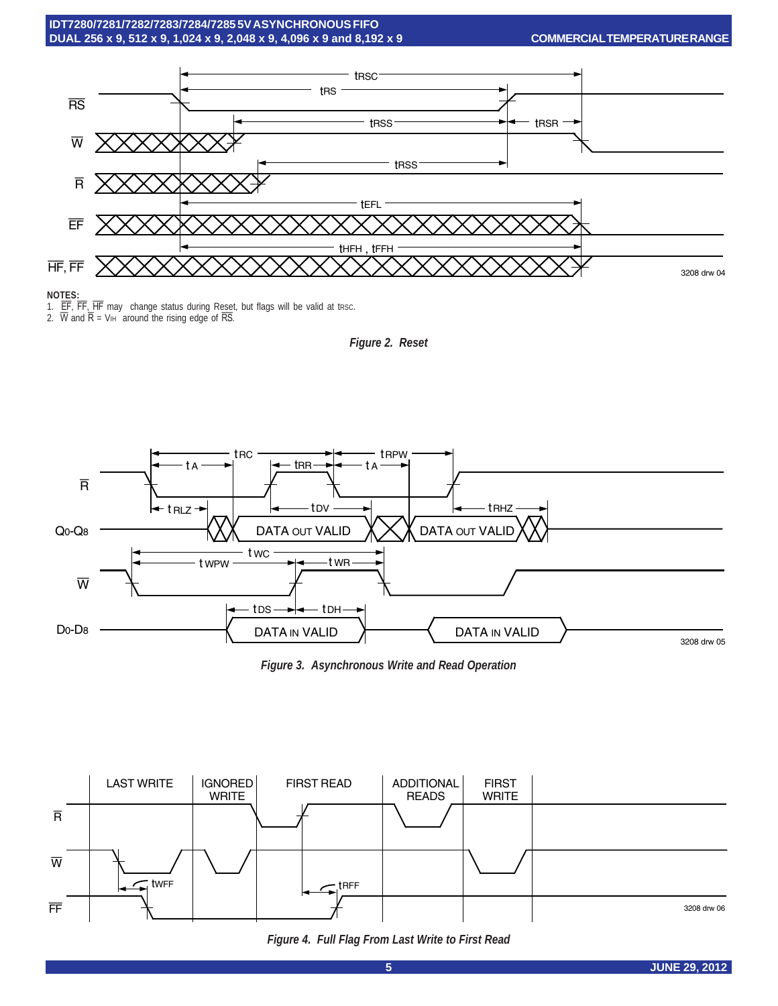

#### **NOTES:**

1. EF, FF, HF may change status during Reset, but flags will be valid at tresc.

2. W and  $\overline{R}$  = V<sub>IH</sub> around the rising edge of  $\overline{RS}$ .





*Figure 3. Asynchronous Write and Read Operation*



*Figure 4. Full Flag From Last Write to First Read*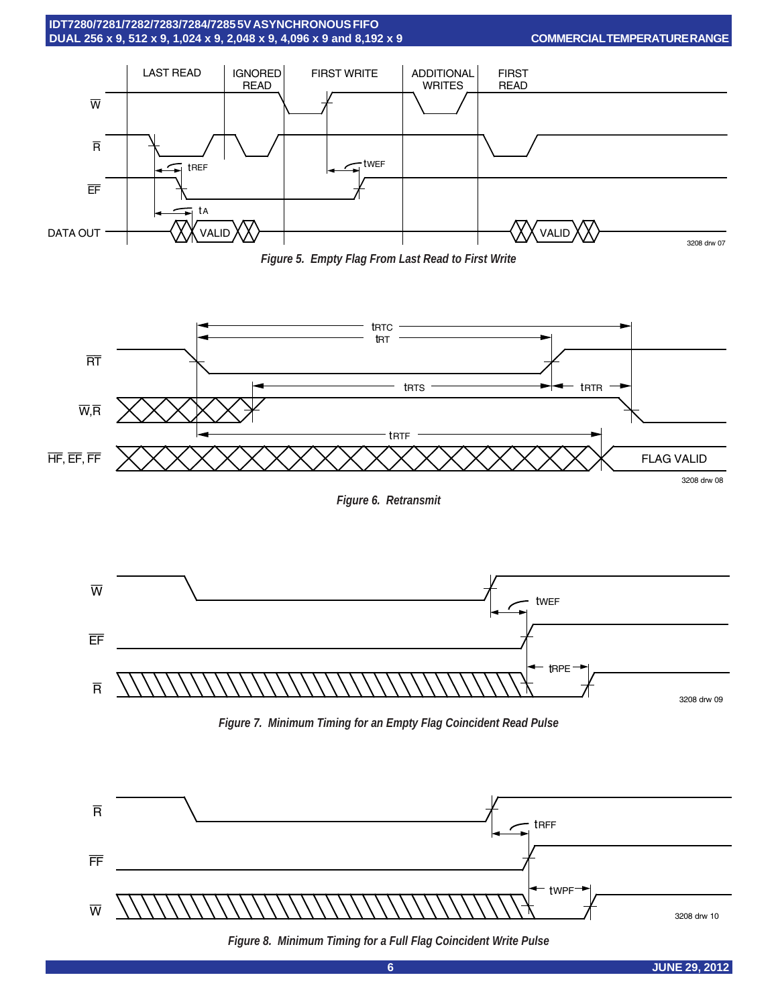

**COMMERCIAL TEMPERATURE RANGE**







*Figure 6. Retransmit*



*Figure 7. Minimum Timing for an Empty Flag Coincident Read Pulse*



*Figure 8. Minimum Timing for a Full Flag Coincident Write Pulse*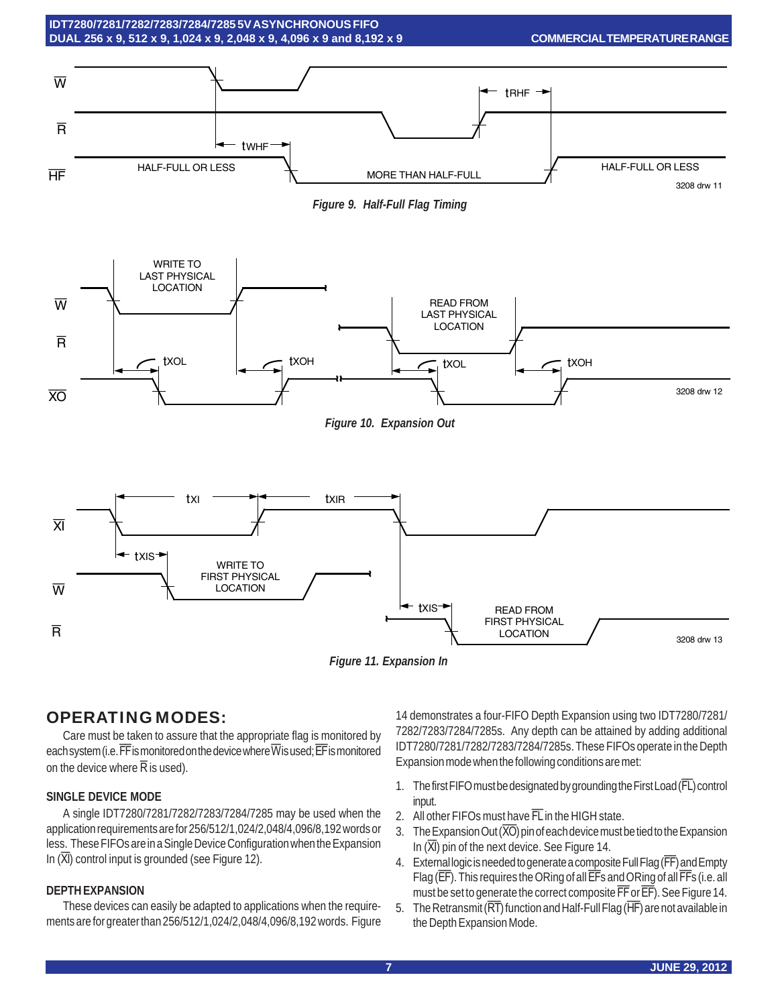





*Figure 10. Expansion Out*



*Figure 11. Expansion In*

# OPERATING MODES:

Care must be taken to assure that the appropriate flag is monitored by each system (i.e.  $\overline{\textsf{FF}}$  is monitored on the device where  $\overline{\textsf{W}}$  is used;  $\overline{\textsf{EF}}$  is monitored on the device where  $\overline{R}$  is used).

#### **SINGLE DEVICE MODE**

A single IDT7280/7281/7282/7283/7284/7285 may be used when the application requirements are for 256/512/1,024/2,048/4,096/8,192 words or less. These FIFOs are in a Single Device Configuration when the Expansion In  $(\overline{XI})$  control input is grounded (see Figure 12).

#### **DEPTH EXPANSION**

These devices can easily be adapted to applications when the requirements are for greater than 256/512/1,024/2,048/4,096/8,192 words. Figure

14 demonstrates a four-FIFO Depth Expansion using two IDT7280/7281/ 7282/7283/7284/7285s. Any depth can be attained by adding additional IDT7280/7281/7282/7283/7284/7285s. These FIFOs operate in the Depth Expansion mode when the following conditions are met:

- 1. The first FIFO must be designated by grounding the First Load (FL) control input.
- 2. All other FIFOs must have FL in the HIGH state.
- 3. The Expansion Out (XO) pin of each device must be tied to the Expansion In  $(\overline{XI})$  pin of the next device. See Figure 14.
- 4. External logic is needed to generate a composite Full Flag (FF) and Empty Flag (EF). This requires the ORing of all EFs and ORing of all FFs (i.e. all must be set to generate the correct composite FF or EF). See Figure 14.
- 5. The Retransmit ( $\overline{RT}$ ) function and Half-Full Flag ( $\overline{HF}$ ) are not available in the Depth Expansion Mode.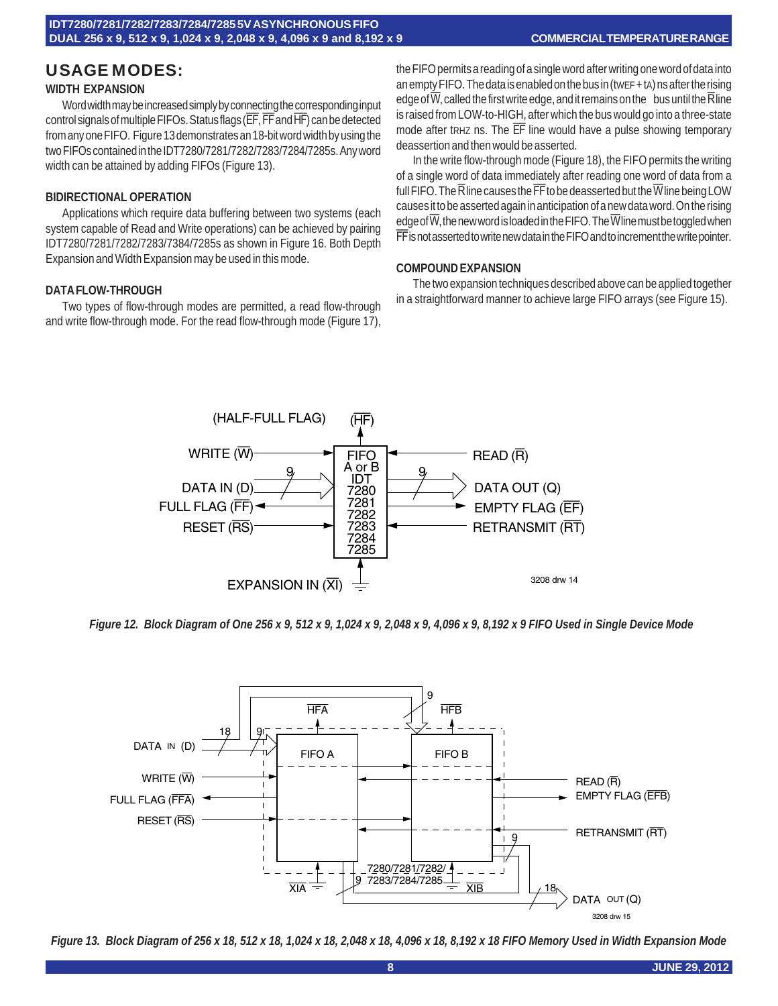#### **COMMERCIAL TEMPERATURE RANGE**

# USAGE MODES: **WIDTH EXPANSION**

Word width may be increased simply by connecting the corresponding input control signals of multiple FIFOs. Status flags (EF, FF and HF) can be detected from any one FIFO. Figure 13 demonstrates an 18-bit word width by using the two FIFOs contained in the IDT7280/7281/7282/7283/7284/7285s. Any word width can be attained by adding FIFOs (Figure 13).

#### **BIDIRECTIONAL OPERATION**

Applications which require data buffering between two systems (each system capable of Read and Write operations) can be achieved by pairing IDT7280/7281/7282/7283/7384/7285s as shown in Figure 16. Both Depth Expansion and Width Expansion may be used in this mode.

#### **DATA FLOW-THROUGH**

Two types of flow-through modes are permitted, a read flow-through and write flow-through mode. For the read flow-through mode (Figure 17),

the FIFO permits a reading of a single word after writing one word of data into an empty FIFO. The data is enabled on the bus in (tWEF + tA) ns after the rising edge of  $\overline{W}$ , called the first write edge, and it remains on the bus until the  $\overline{R}$  line is raised from LOW-to-HIGH, after which the bus would go into a three-state mode after tRHZ ns. The EF line would have a pulse showing temporary deassertion and then would be asserted.

In the write flow-through mode (Figure 18), the FIFO permits the writing of a single word of data immediately after reading one word of data from a full FIFO. The  $\overline{\mathsf{R}}$  line causes the  $\overline{\mathsf{FF}}$  to be deasserted but the  $\overline{\mathsf{W}}$  line being LOW causes it to be asserted again in anticipation of a new data word. On the rising edge of  $\overline{W}$ , the new word is loaded in the FIFO. The  $\overline{W}$  line must be toggled when FF is not asserted to write new data in the FIFO and to increment the write pointer.

#### **COMPOUND EXPANSION**

The two expansion techniques described above can be applied together in a straightforward manner to achieve large FIFO arrays (see Figure 15).



*Figure 12. Block Diagram of One 256 x 9, 512 x 9, 1,024 x 9, 2,048 x 9, 4,096 x 9, 8,192 x 9 FIFO Used in Single Device Mode*



*Figure 13. Block Diagram of 256 x 18, 512 x 18, 1,024 x 18, 2,048 x 18, 4,096 x 18, 8,192 x 18 FIFO Memory Used in Width Expansion Mode*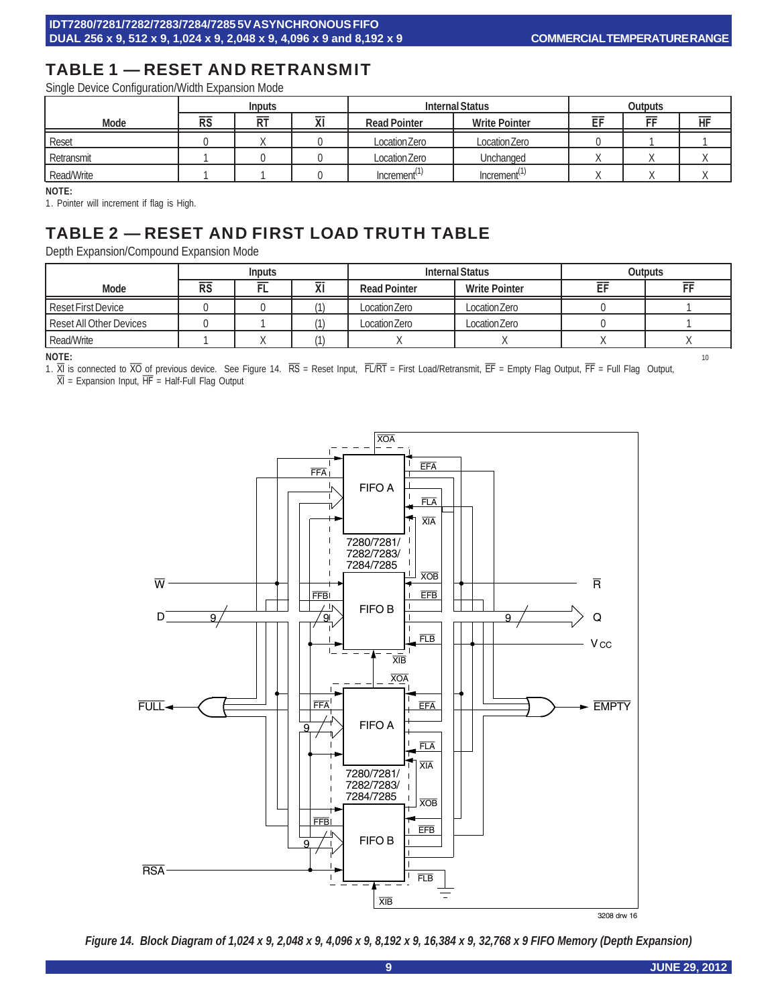# TABLE 1 — RESET AND RETRANSMIT

Single Device Configuration/Width Expansion Mode

|            | <b>Inputs</b> |           |        | <b>Internal Status</b>   |                          | <b>Outputs</b> |    |    |
|------------|---------------|-----------|--------|--------------------------|--------------------------|----------------|----|----|
| Mode       | <b>RS</b>     | <b>RT</b> | ᅲ<br>л | <b>Read Pointer</b>      | <b>Write Pointer</b>     | EF             | FF | HF |
| Reset      |               |           |        | Location Zero            | Location Zero            |                |    |    |
| Retransmit |               |           |        | Location Zero            | Unchanged                |                |    |    |
| Read/Write |               |           |        | Increment <sup>(1)</sup> | Increment <sup>(1)</sup> |                |    |    |

#### **NOTE:**

1. Pointer will increment if flag is High.

# TABLE 2 — RESET AND FIRST LOAD TRUTH TABLE

Depth Expansion/Compound Expansion Mode

|                         | <b>Internal Status</b><br><b>Outputs</b><br><b>Inputs</b> |   |              |                     |                      |  |  |
|-------------------------|-----------------------------------------------------------|---|--------------|---------------------|----------------------|--|--|
| Mode                    | <b>RS</b>                                                 | ► | $\mathbf{A}$ | <b>Read Pointer</b> | <b>Write Pointer</b> |  |  |
| Reset First Device      |                                                           |   |              | Location Zero       | Location Zero        |  |  |
| Reset All Other Devices |                                                           |   |              | Location Zero       | Location Zero        |  |  |
| Read/Write              |                                                           |   |              |                     |                      |  |  |

**NOTE:** 10 1. XI is connected to XO of previous device. See Figure 14. RS = Reset Input, FL/RT = First Load/Retransmit, EF = Empty Flag Output, FF = Full Flag Output,

 $\overline{XI}$  = Expansion Input,  $\overline{HF}$  = Half-Full Flag Output



3208 drw 16

*Figure 14. Block Diagram of 1,024 x 9, 2,048 x 9, 4,096 x 9, 8,192 x 9, 16,384 x 9, 32,768 x 9 FIFO Memory (Depth Expansion)*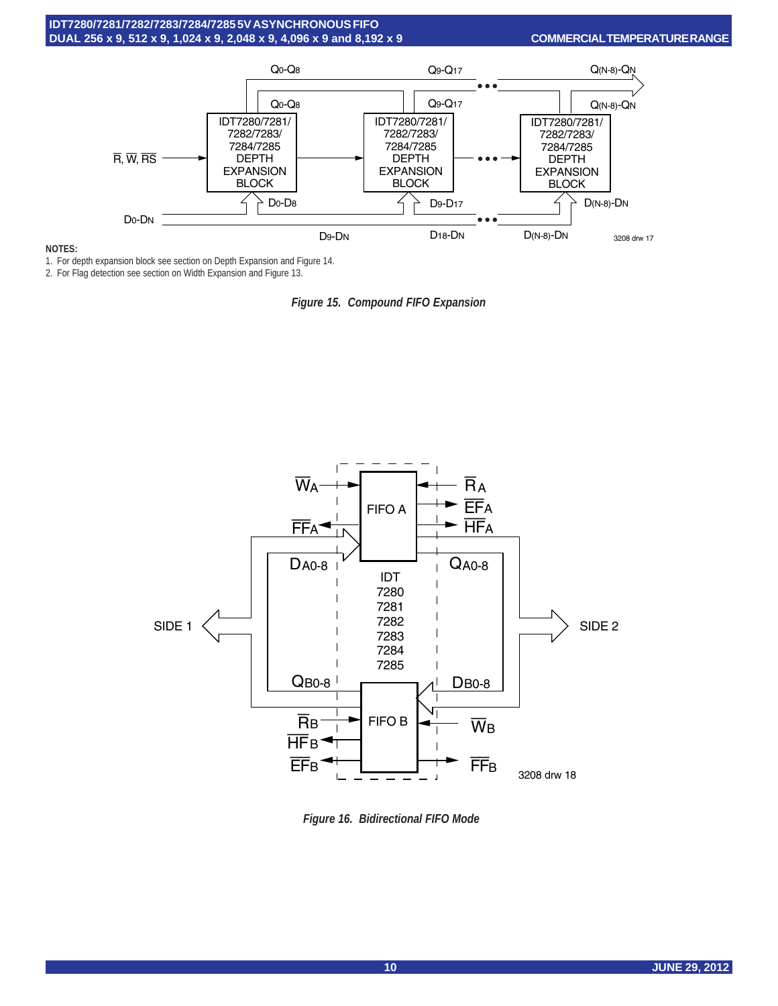

#### **NOTES:**

1. For depth expansion block see section on Depth Expansion and Figure 14.

2. For Flag detection see section on Width Expansion and Figure 13.





*Figure 16. Bidirectional FIFO Mode*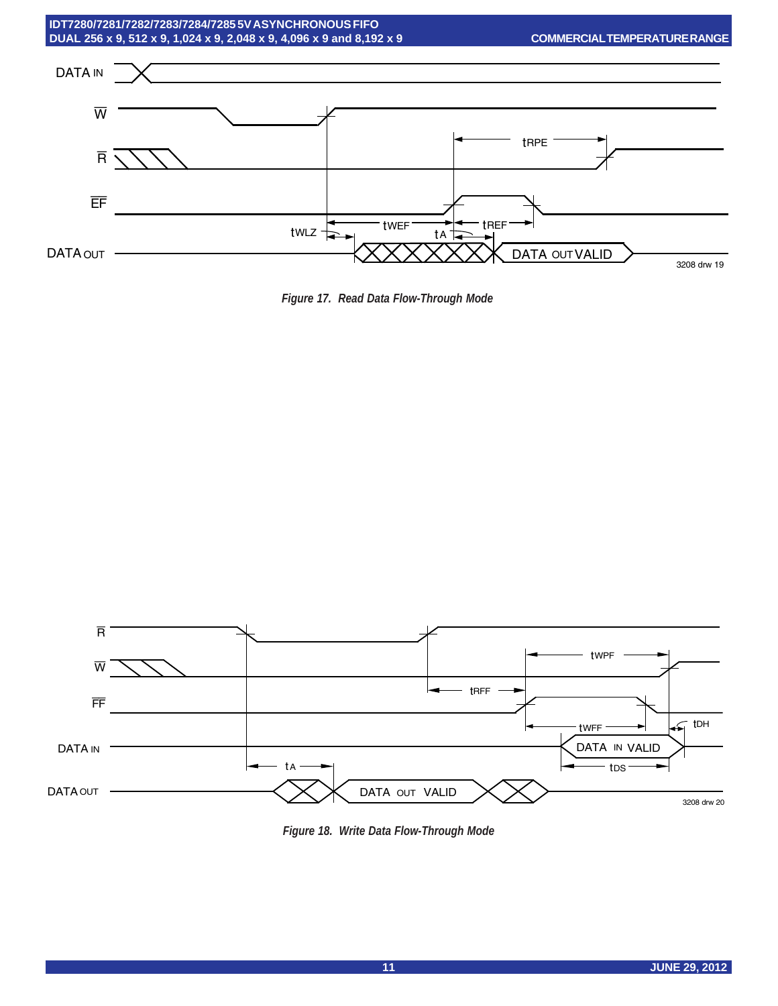

*Figure 17. Read Data Flow-Through Mode*



*Figure 18. Write Data Flow-Through Mode*